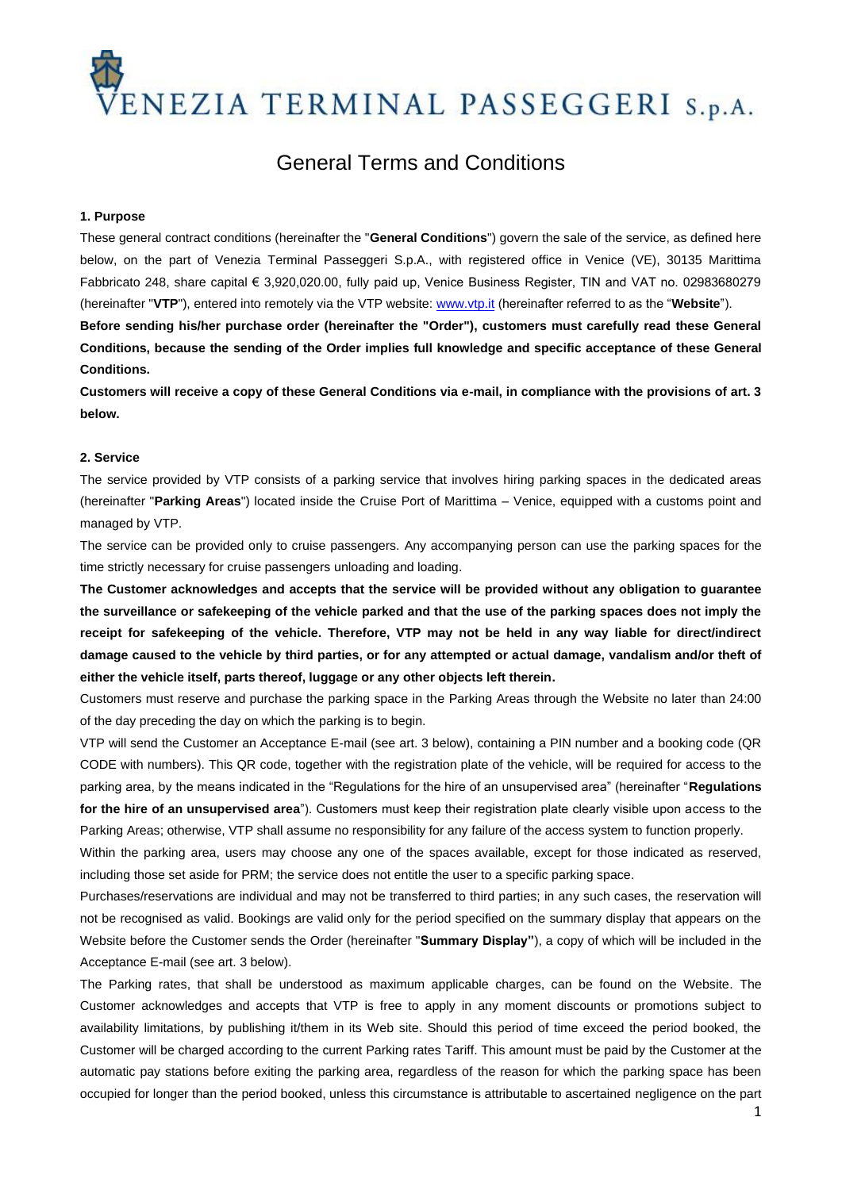ENEZIA TERMINAL PASSEGGERI S.p.A.

# General Terms and Conditions

#### **1. Purpose**

These general contract conditions (hereinafter the "**General Conditions**") govern the sale of the service, as defined here below, on the part of Venezia Terminal Passeggeri S.p.A., with registered office in Venice (VE), 30135 Marittima Fabbricato 248, share capital € 3,920,020.00, fully paid up, Venice Business Register, TIN and VAT no. 02983680279 (hereinafter "**VTP**"), entered into remotely via the VTP website[: www.vtp.it](http://www.vtp.it/) (hereinafter referred to as the "**Website**").

**Before sending his/her purchase order (hereinafter the "Order"), customers must carefully read these General Conditions, because the sending of the Order implies full knowledge and specific acceptance of these General Conditions.**

**Customers will receive a copy of these General Conditions via e-mail, in compliance with the provisions of art. 3 below.**

## **2. Service**

The service provided by VTP consists of a parking service that involves hiring parking spaces in the dedicated areas (hereinafter "**Parking Areas**") located inside the Cruise Port of Marittima – Venice, equipped with a customs point and managed by VTP.

The service can be provided only to cruise passengers. Any accompanying person can use the parking spaces for the time strictly necessary for cruise passengers unloading and loading.

**The Customer acknowledges and accepts that the service will be provided without any obligation to guarantee the surveillance or safekeeping of the vehicle parked and that the use of the parking spaces does not imply the receipt for safekeeping of the vehicle. Therefore, VTP may not be held in any way liable for direct/indirect damage caused to the vehicle by third parties, or for any attempted or actual damage, vandalism and/or theft of either the vehicle itself, parts thereof, luggage or any other objects left therein.**

Customers must reserve and purchase the parking space in the Parking Areas through the Website no later than 24:00 of the day preceding the day on which the parking is to begin.

VTP will send the Customer an Acceptance E-mail (see art. 3 below), containing a PIN number and a booking code (QR CODE with numbers). This QR code, together with the registration plate of the vehicle, will be required for access to the parking area, by the means indicated in the "Regulations for the hire of an unsupervised area" (hereinafter "**Regulations for the hire of an unsupervised area**"). Customers must keep their registration plate clearly visible upon access to the Parking Areas; otherwise, VTP shall assume no responsibility for any failure of the access system to function properly.

Within the parking area, users may choose any one of the spaces available, except for those indicated as reserved, including those set aside for PRM; the service does not entitle the user to a specific parking space.

Purchases/reservations are individual and may not be transferred to third parties; in any such cases, the reservation will not be recognised as valid. Bookings are valid only for the period specified on the summary display that appears on the Website before the Customer sends the Order (hereinafter "**Summary Display"**), a copy of which will be included in the Acceptance E-mail (see art. 3 below).

The Parking rates, that shall be understood as maximum applicable charges, can be found on the Website. The Customer acknowledges and accepts that VTP is free to apply in any moment discounts or promotions subject to availability limitations, by publishing it/them in its Web site. Should this period of time exceed the period booked, the Customer will be charged according to the current Parking rates Tariff. This amount must be paid by the Customer at the automatic pay stations before exiting the parking area, regardless of the reason for which the parking space has been occupied for longer than the period booked, unless this circumstance is attributable to ascertained negligence on the part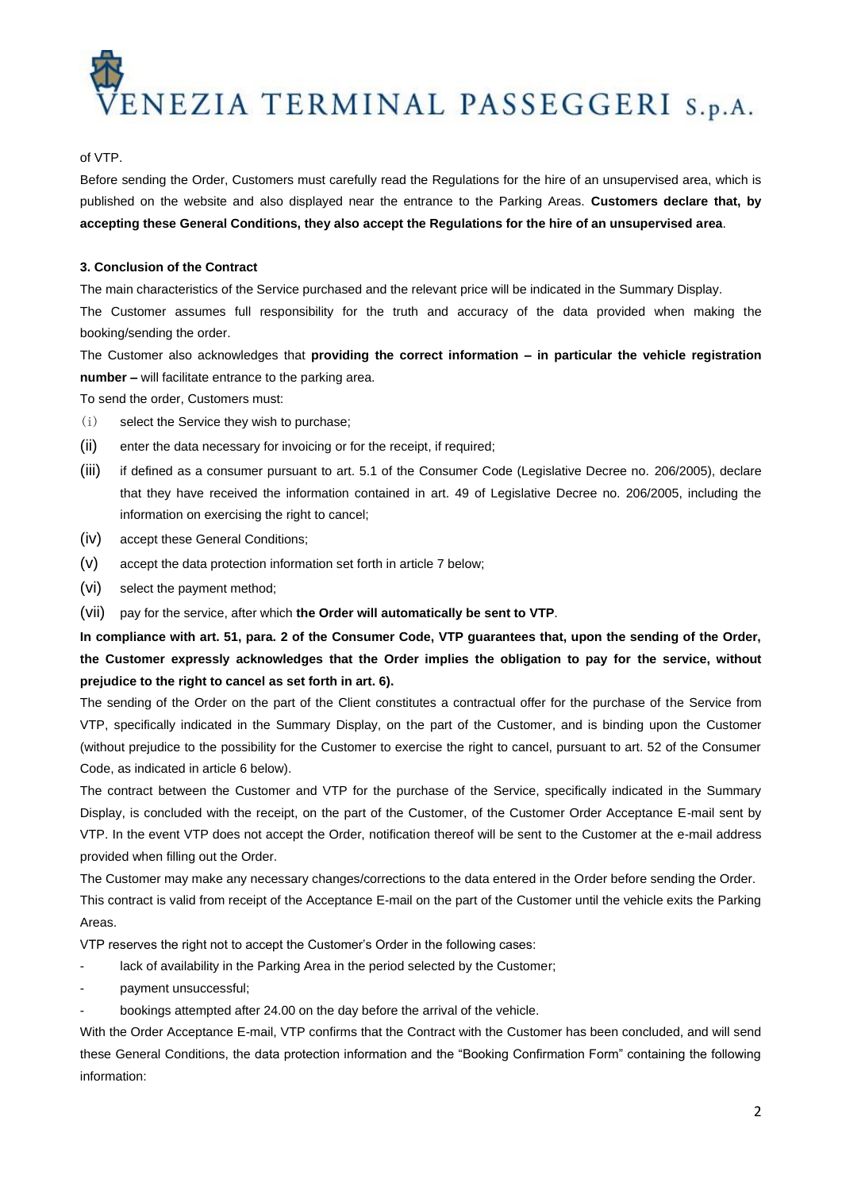

## of VTP.

Before sending the Order, Customers must carefully read the Regulations for the hire of an unsupervised area, which is published on the website and also displayed near the entrance to the Parking Areas. **Customers declare that, by accepting these General Conditions, they also accept the Regulations for the hire of an unsupervised area**.

# **3. Conclusion of the Contract**

The main characteristics of the Service purchased and the relevant price will be indicated in the Summary Display. The Customer assumes full responsibility for the truth and accuracy of the data provided when making the booking/sending the order.

The Customer also acknowledges that **providing the correct information – in particular the vehicle registration number –** will facilitate entrance to the parking area.

To send the order, Customers must:

- (i) select the Service they wish to purchase;
- (ii) enter the data necessary for invoicing or for the receipt, if required;
- (iii) if defined as a consumer pursuant to art. 5.1 of the Consumer Code (Legislative Decree no. 206/2005), declare that they have received the information contained in art. 49 of Legislative Decree no. 206/2005, including the information on exercising the right to cancel;
- (iv) accept these General Conditions;
- (v) accept the data protection information set forth in article 7 below;
- (vi) select the payment method;
- (vii) pay for the service, after which **the Order will automatically be sent to VTP**.

**In compliance with art. 51, para. 2 of the Consumer Code, VTP guarantees that, upon the sending of the Order, the Customer expressly acknowledges that the Order implies the obligation to pay for the service, without prejudice to the right to cancel as set forth in art. 6).** 

The sending of the Order on the part of the Client constitutes a contractual offer for the purchase of the Service from VTP, specifically indicated in the Summary Display, on the part of the Customer, and is binding upon the Customer (without prejudice to the possibility for the Customer to exercise the right to cancel, pursuant to art. 52 of the Consumer Code, as indicated in article 6 below).

The contract between the Customer and VTP for the purchase of the Service, specifically indicated in the Summary Display, is concluded with the receipt, on the part of the Customer, of the Customer Order Acceptance E-mail sent by VTP. In the event VTP does not accept the Order, notification thereof will be sent to the Customer at the e-mail address provided when filling out the Order.

The Customer may make any necessary changes/corrections to the data entered in the Order before sending the Order. This contract is valid from receipt of the Acceptance E-mail on the part of the Customer until the vehicle exits the Parking Areas.

VTP reserves the right not to accept the Customer's Order in the following cases:

- lack of availability in the Parking Area in the period selected by the Customer;
- payment unsuccessful;
- bookings attempted after 24.00 on the day before the arrival of the vehicle.

With the Order Acceptance E-mail, VTP confirms that the Contract with the Customer has been concluded, and will send these General Conditions, the data protection information and the "Booking Confirmation Form" containing the following information: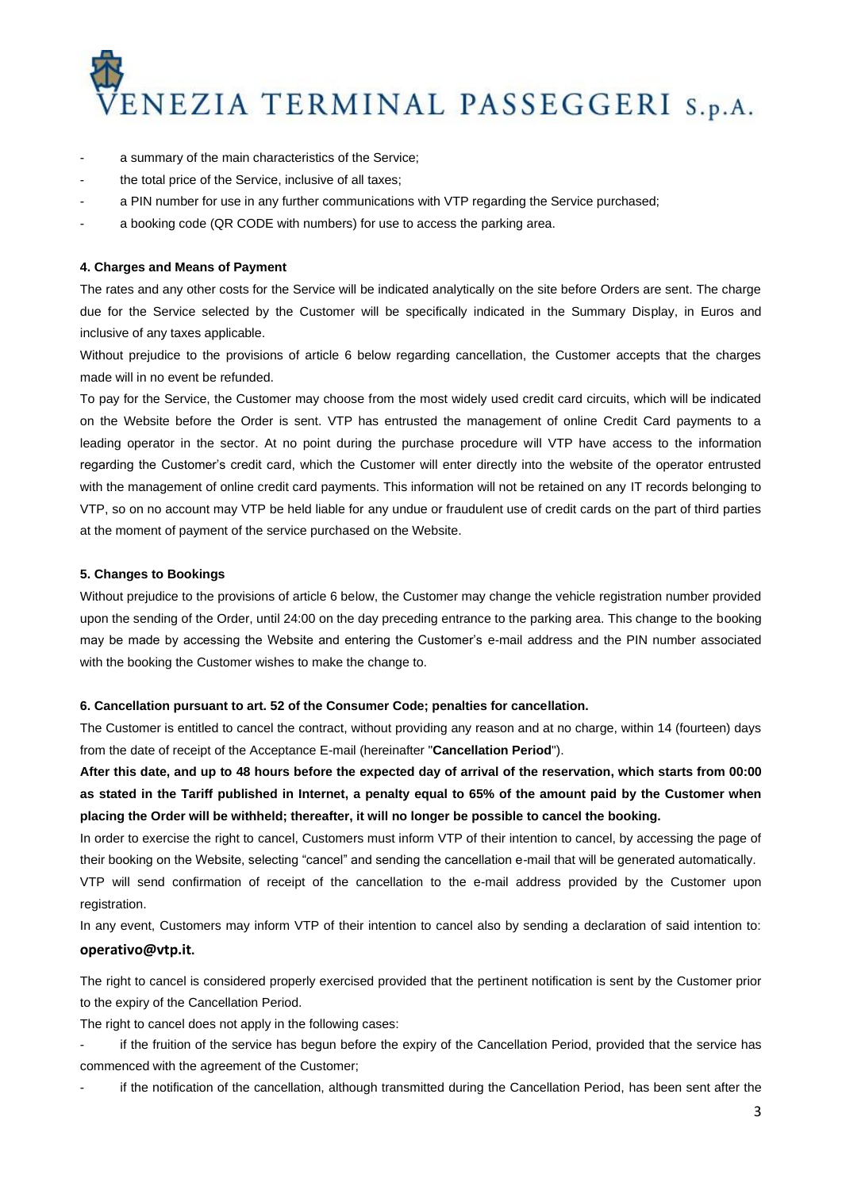

- a summary of the main characteristics of the Service;
- the total price of the Service, inclusive of all taxes;
- a PIN number for use in any further communications with VTP regarding the Service purchased;
- a booking code (QR CODE with numbers) for use to access the parking area.

#### **4. Charges and Means of Payment**

The rates and any other costs for the Service will be indicated analytically on the site before Orders are sent. The charge due for the Service selected by the Customer will be specifically indicated in the Summary Display, in Euros and inclusive of any taxes applicable.

Without prejudice to the provisions of article 6 below regarding cancellation, the Customer accepts that the charges made will in no event be refunded.

To pay for the Service, the Customer may choose from the most widely used credit card circuits, which will be indicated on the Website before the Order is sent. VTP has entrusted the management of online Credit Card payments to a leading operator in the sector. At no point during the purchase procedure will VTP have access to the information regarding the Customer's credit card, which the Customer will enter directly into the website of the operator entrusted with the management of online credit card payments. This information will not be retained on any IT records belonging to VTP, so on no account may VTP be held liable for any undue or fraudulent use of credit cards on the part of third parties at the moment of payment of the service purchased on the Website.

#### **5. Changes to Bookings**

Without prejudice to the provisions of article 6 below, the Customer may change the vehicle registration number provided upon the sending of the Order, until 24:00 on the day preceding entrance to the parking area. This change to the booking may be made by accessing the Website and entering the Customer's e-mail address and the PIN number associated with the booking the Customer wishes to make the change to.

#### **6. Cancellation pursuant to art. 52 of the Consumer Code; penalties for cancellation.**

The Customer is entitled to cancel the contract, without providing any reason and at no charge, within 14 (fourteen) days from the date of receipt of the Acceptance E-mail (hereinafter "**Cancellation Period**").

**After this date, and up to 48 hours before the expected day of arrival of the reservation, which starts from 00:00 as stated in the Tariff published in Internet, a penalty equal to 65% of the amount paid by the Customer when placing the Order will be withheld; thereafter, it will no longer be possible to cancel the booking.** 

In order to exercise the right to cancel, Customers must inform VTP of their intention to cancel, by accessing the page of their booking on the Website, selecting "cancel" and sending the cancellation e-mail that will be generated automatically.

VTP will send confirmation of receipt of the cancellation to the e-mail address provided by the Customer upon registration.

In any event, Customers may inform VTP of their intention to cancel also by sending a declaration of said intention to: **[operativo@vtp.it](mailto:operativo@vtp.it??????????????????).** 

The right to cancel is considered properly exercised provided that the pertinent notification is sent by the Customer prior to the expiry of the Cancellation Period.

The right to cancel does not apply in the following cases:

if the fruition of the service has begun before the expiry of the Cancellation Period, provided that the service has commenced with the agreement of the Customer;

if the notification of the cancellation, although transmitted during the Cancellation Period, has been sent after the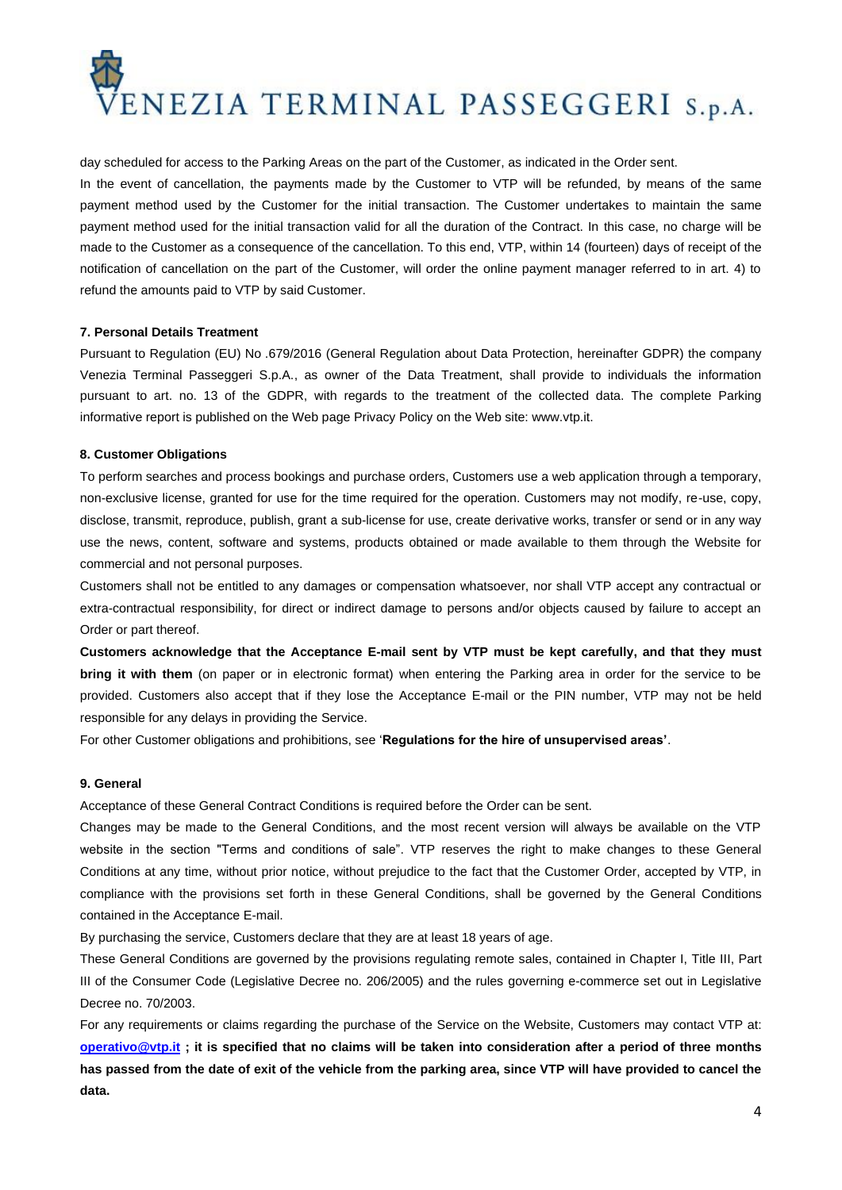

day scheduled for access to the Parking Areas on the part of the Customer, as indicated in the Order sent. In the event of cancellation, the payments made by the Customer to VTP will be refunded, by means of the same payment method used by the Customer for the initial transaction. The Customer undertakes to maintain the same payment method used for the initial transaction valid for all the duration of the Contract. In this case, no charge will be made to the Customer as a consequence of the cancellation. To this end, VTP, within 14 (fourteen) days of receipt of the notification of cancellation on the part of the Customer, will order the online payment manager referred to in art. 4) to refund the amounts paid to VTP by said Customer.

# **7. Personal Details Treatment**

Pursuant to Regulation (EU) No .679/2016 (General Regulation about Data Protection, hereinafter GDPR) the company Venezia Terminal Passeggeri S.p.A., as owner of the Data Treatment, shall provide to individuals the information pursuant to art. no. 13 of the GDPR, with regards to the treatment of the collected data. The complete Parking informative report is published on the Web page Privacy Policy on the Web site: www.vtp.it.

#### **8. Customer Obligations**

To perform searches and process bookings and purchase orders, Customers use a web application through a temporary, non-exclusive license, granted for use for the time required for the operation. Customers may not modify, re-use, copy, disclose, transmit, reproduce, publish, grant a sub-license for use, create derivative works, transfer or send or in any way use the news, content, software and systems, products obtained or made available to them through the Website for commercial and not personal purposes.

Customers shall not be entitled to any damages or compensation whatsoever, nor shall VTP accept any contractual or extra-contractual responsibility, for direct or indirect damage to persons and/or objects caused by failure to accept an Order or part thereof.

**Customers acknowledge that the Acceptance E-mail sent by VTP must be kept carefully, and that they must bring it with them** (on paper or in electronic format) when entering the Parking area in order for the service to be provided. Customers also accept that if they lose the Acceptance E-mail or the PIN number, VTP may not be held responsible for any delays in providing the Service.

For other Customer obligations and prohibitions, see '**Regulations for the hire of unsupervised areas'**.

# **9. General**

Acceptance of these General Contract Conditions is required before the Order can be sent.

Changes may be made to the General Conditions, and the most recent version will always be available on the VTP website in the section "Terms and conditions of sale". VTP reserves the right to make changes to these General Conditions at any time, without prior notice, without prejudice to the fact that the Customer Order, accepted by VTP, in compliance with the provisions set forth in these General Conditions, shall be governed by the General Conditions contained in the Acceptance E-mail.

By purchasing the service, Customers declare that they are at least 18 years of age.

These General Conditions are governed by the provisions regulating remote sales, contained in Chapter I, Title III, Part III of the Consumer Code (Legislative Decree no. 206/2005) and the rules governing e-commerce set out in Legislative Decree no. 70/2003.

For any requirements or claims regarding the purchase of the Service on the Website, Customers may contact VTP at: **[operativo@vtp.it](mailto:operativo@vtp.it) ; it is specified that no claims will be taken into consideration after a period of three months has passed from the date of exit of the vehicle from the parking area, since VTP will have provided to cancel the data.**